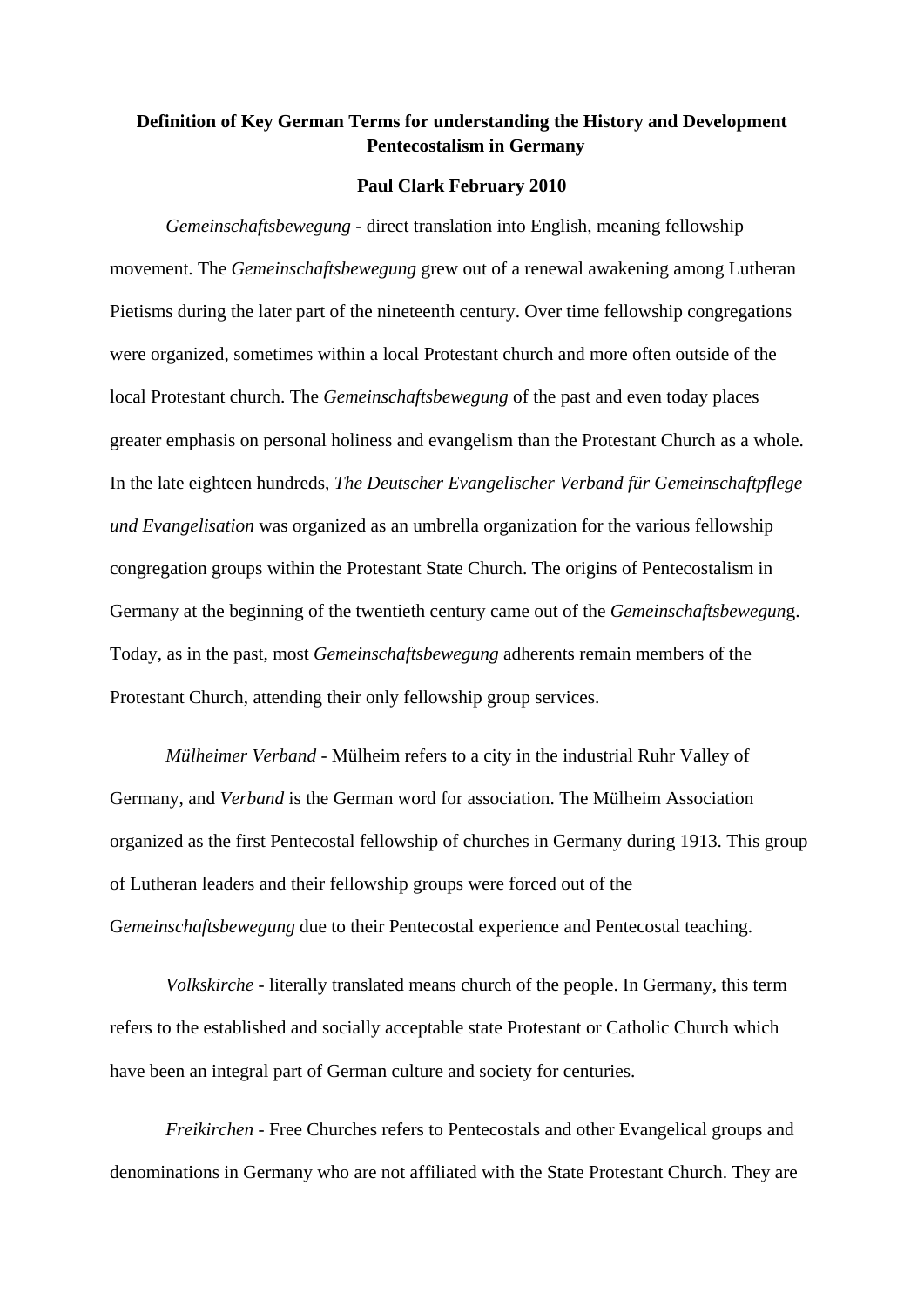## **Definition of Key German Terms for understanding the History and Development Pentecostalism in Germany**

## **Paul Clark February 2010**

*Gemeinschaftsbewegung* - direct translation into English, meaning fellowship movement. The *Gemeinschaftsbewegung* grew out of a renewal awakening among Lutheran Pietisms during the later part of the nineteenth century. Over time fellowship congregations were organized, sometimes within a local Protestant church and more often outside of the local Protestant church. The *Gemeinschaftsbewegung* of the past and even today places greater emphasis on personal holiness and evangelism than the Protestant Church as a whole. In the late eighteen hundreds, *The Deutscher Evangelischer Verband für Gemeinschaftpflege und Evangelisation* was organized as an umbrella organization for the various fellowship congregation groups within the Protestant State Church. The origins of Pentecostalism in Germany at the beginning of the twentieth century came out of the *Gemeinschaftsbewegun*g. Today, as in the past, most *Gemeinschaftsbewegung* adherents remain members of the Protestant Church, attending their only fellowship group services.

*Mülheimer Verband* - Mülheim refers to a city in the industrial Ruhr Valley of Germany, and *Verband* is the German word for association. The Mülheim Association organized as the first Pentecostal fellowship of churches in Germany during 1913. This group of Lutheran leaders and their fellowship groups were forced out of the G*emeinschaftsbewegung* due to their Pentecostal experience and Pentecostal teaching.

*Volkskirche* - literally translated means church of the people. In Germany, this term refers to the established and socially acceptable state Protestant or Catholic Church which have been an integral part of German culture and society for centuries.

*Freikirchen* - Free Churches refers to Pentecostals and other Evangelical groups and denominations in Germany who are not affiliated with the State Protestant Church. They are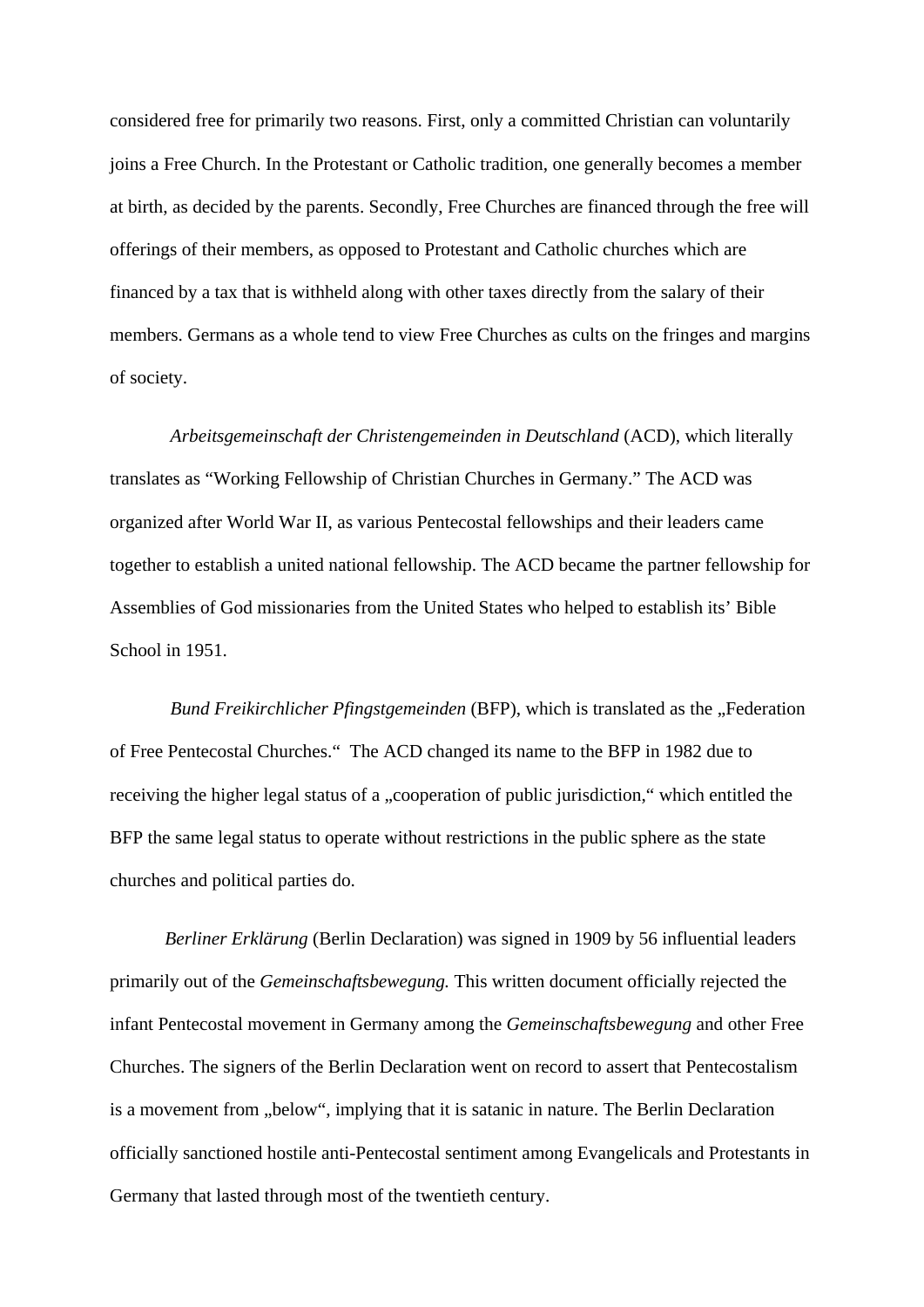considered free for primarily two reasons. First, only a committed Christian can voluntarily joins a Free Church. In the Protestant or Catholic tradition, one generally becomes a member at birth, as decided by the parents. Secondly, Free Churches are financed through the free will offerings of their members, as opposed to Protestant and Catholic churches which are financed by a tax that is withheld along with other taxes directly from the salary of their members. Germans as a whole tend to view Free Churches as cults on the fringes and margins of society.

*Arbeitsgemeinschaft der Christengemeinden in Deutschland* (ACD), which literally translates as "Working Fellowship of Christian Churches in Germany." The ACD was organized after World War II, as various Pentecostal fellowships and their leaders came together to establish a united national fellowship. The ACD became the partner fellowship for Assemblies of God missionaries from the United States who helped to establish its' Bible School in 1951.

*Bund Freikirchlicher Pfingstgemeinden* (BFP), which is translated as the "Federation of Free Pentecostal Churches." The ACD changed its name to the BFP in 1982 due to receiving the higher legal status of a "cooperation of public jurisdiction," which entitled the BFP the same legal status to operate without restrictions in the public sphere as the state churches and political parties do.

*Berliner Erklärung* (Berlin Declaration) was signed in 1909 by 56 influential leaders primarily out of the *Gemeinschaftsbewegung.* This written document officially rejected the infant Pentecostal movement in Germany among the *Gemeinschaftsbewegung* and other Free Churches. The signers of the Berlin Declaration went on record to assert that Pentecostalism is a movement from "below", implying that it is satanic in nature. The Berlin Declaration officially sanctioned hostile anti-Pentecostal sentiment among Evangelicals and Protestants in Germany that lasted through most of the twentieth century.